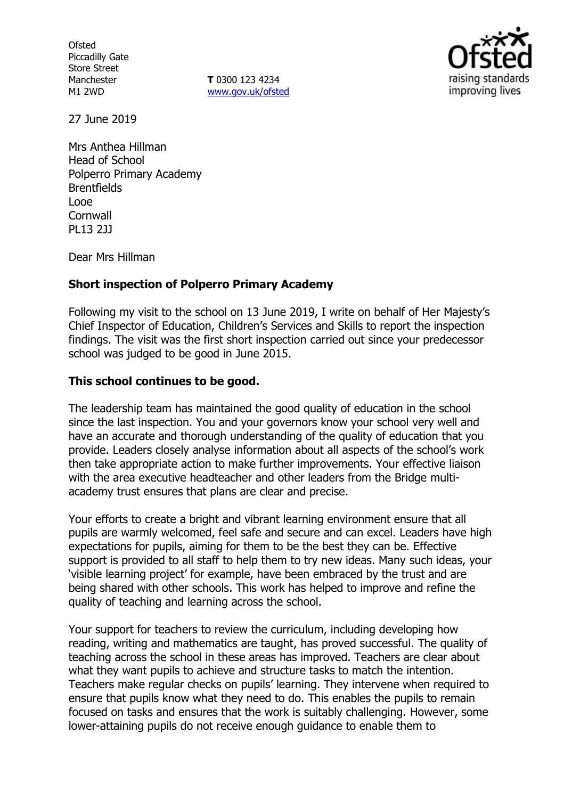**Ofsted** Piccadilly Gate Store Street Manchester M1 2WD

**T** 0300 123 4234 www.gov.uk/ofsted



27 June 2019

Mrs Anthea Hillman Head of School Polperro Primary Academy **Brentfields** Looe **Cornwall** PL13 2JJ

Dear Mrs Hillman

### **Short inspection of Polperro Primary Academy**

Following my visit to the school on 13 June 2019, I write on behalf of Her Majesty's Chief Inspector of Education, Children's Services and Skills to report the inspection findings. The visit was the first short inspection carried out since your predecessor school was judged to be good in June 2015.

### **This school continues to be good.**

The leadership team has maintained the good quality of education in the school since the last inspection. You and your governors know your school very well and have an accurate and thorough understanding of the quality of education that you provide. Leaders closely analyse information about all aspects of the school's work then take appropriate action to make further improvements. Your effective liaison with the area executive headteacher and other leaders from the Bridge multiacademy trust ensures that plans are clear and precise.

Your efforts to create a bright and vibrant learning environment ensure that all pupils are warmly welcomed, feel safe and secure and can excel. Leaders have high expectations for pupils, aiming for them to be the best they can be. Effective support is provided to all staff to help them to try new ideas. Many such ideas, your 'visible learning project' for example, have been embraced by the trust and are being shared with other schools. This work has helped to improve and refine the quality of teaching and learning across the school.

Your support for teachers to review the curriculum, including developing how reading, writing and mathematics are taught, has proved successful. The quality of teaching across the school in these areas has improved. Teachers are clear about what they want pupils to achieve and structure tasks to match the intention. Teachers make regular checks on pupils' learning. They intervene when required to ensure that pupils know what they need to do. This enables the pupils to remain focused on tasks and ensures that the work is suitably challenging. However, some lower-attaining pupils do not receive enough guidance to enable them to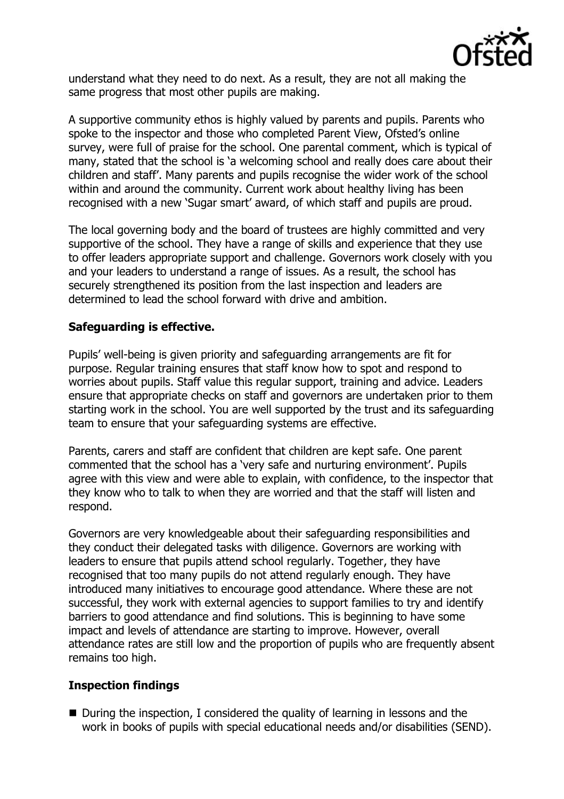

understand what they need to do next. As a result, they are not all making the same progress that most other pupils are making.

A supportive community ethos is highly valued by parents and pupils. Parents who spoke to the inspector and those who completed Parent View, Ofsted's online survey, were full of praise for the school. One parental comment, which is typical of many, stated that the school is 'a welcoming school and really does care about their children and staff'. Many parents and pupils recognise the wider work of the school within and around the community. Current work about healthy living has been recognised with a new 'Sugar smart' award, of which staff and pupils are proud.

The local governing body and the board of trustees are highly committed and very supportive of the school. They have a range of skills and experience that they use to offer leaders appropriate support and challenge. Governors work closely with you and your leaders to understand a range of issues. As a result, the school has securely strengthened its position from the last inspection and leaders are determined to lead the school forward with drive and ambition.

# **Safeguarding is effective.**

Pupils' well-being is given priority and safeguarding arrangements are fit for purpose. Regular training ensures that staff know how to spot and respond to worries about pupils. Staff value this regular support, training and advice. Leaders ensure that appropriate checks on staff and governors are undertaken prior to them starting work in the school. You are well supported by the trust and its safeguarding team to ensure that your safeguarding systems are effective.

Parents, carers and staff are confident that children are kept safe. One parent commented that the school has a 'very safe and nurturing environment'. Pupils agree with this view and were able to explain, with confidence, to the inspector that they know who to talk to when they are worried and that the staff will listen and respond.

Governors are very knowledgeable about their safeguarding responsibilities and they conduct their delegated tasks with diligence. Governors are working with leaders to ensure that pupils attend school regularly. Together, they have recognised that too many pupils do not attend regularly enough. They have introduced many initiatives to encourage good attendance. Where these are not successful, they work with external agencies to support families to try and identify barriers to good attendance and find solutions. This is beginning to have some impact and levels of attendance are starting to improve. However, overall attendance rates are still low and the proportion of pupils who are frequently absent remains too high.

## **Inspection findings**

 During the inspection, I considered the quality of learning in lessons and the work in books of pupils with special educational needs and/or disabilities (SEND).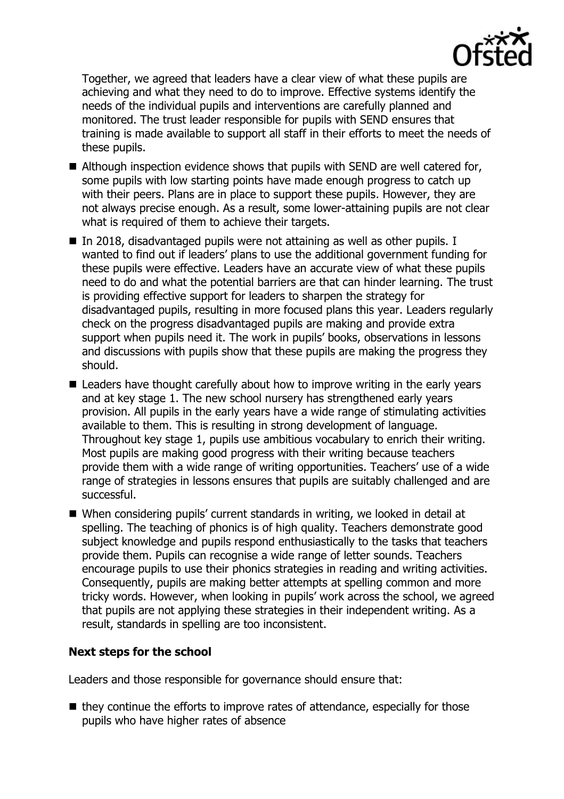

Together, we agreed that leaders have a clear view of what these pupils are achieving and what they need to do to improve. Effective systems identify the needs of the individual pupils and interventions are carefully planned and monitored. The trust leader responsible for pupils with SEND ensures that training is made available to support all staff in their efforts to meet the needs of these pupils.

- Although inspection evidence shows that pupils with SEND are well catered for, some pupils with low starting points have made enough progress to catch up with their peers. Plans are in place to support these pupils. However, they are not always precise enough. As a result, some lower-attaining pupils are not clear what is required of them to achieve their targets.
- In 2018, disadvantaged pupils were not attaining as well as other pupils. I wanted to find out if leaders' plans to use the additional government funding for these pupils were effective. Leaders have an accurate view of what these pupils need to do and what the potential barriers are that can hinder learning. The trust is providing effective support for leaders to sharpen the strategy for disadvantaged pupils, resulting in more focused plans this year. Leaders regularly check on the progress disadvantaged pupils are making and provide extra support when pupils need it. The work in pupils' books, observations in lessons and discussions with pupils show that these pupils are making the progress they should.
- Leaders have thought carefully about how to improve writing in the early years and at key stage 1. The new school nursery has strengthened early years provision. All pupils in the early years have a wide range of stimulating activities available to them. This is resulting in strong development of language. Throughout key stage 1, pupils use ambitious vocabulary to enrich their writing. Most pupils are making good progress with their writing because teachers provide them with a wide range of writing opportunities. Teachers' use of a wide range of strategies in lessons ensures that pupils are suitably challenged and are successful.
- When considering pupils' current standards in writing, we looked in detail at spelling. The teaching of phonics is of high quality. Teachers demonstrate good subject knowledge and pupils respond enthusiastically to the tasks that teachers provide them. Pupils can recognise a wide range of letter sounds. Teachers encourage pupils to use their phonics strategies in reading and writing activities. Consequently, pupils are making better attempts at spelling common and more tricky words. However, when looking in pupils' work across the school, we agreed that pupils are not applying these strategies in their independent writing. As a result, standards in spelling are too inconsistent.

## **Next steps for the school**

Leaders and those responsible for governance should ensure that:

 $\blacksquare$  they continue the efforts to improve rates of attendance, especially for those pupils who have higher rates of absence